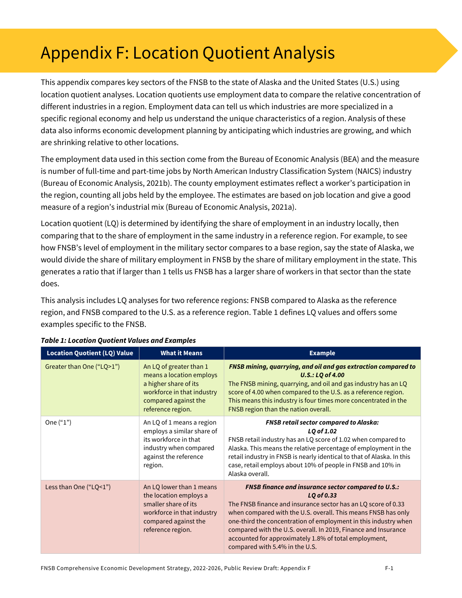# Appendix F: Location Quotient Analysis

This appendix compares key sectors of the FNSB to the state of Alaska and the United States (U.S.) using location quotient analyses. Location quotients use employment data to compare the relative concentration of different industries in a region. Employment data can tell us which industries are more specialized in a specific regional economy and help us understand the unique characteristics of a region. Analysis of these data also informs economic development planning by anticipating which industries are growing, and which are shrinking relative to other locations.

The employment data used in this section come from the Bureau of Economic Analysis (BEA) and the measure is number of full-time and part-time jobs by North American Industry Classification System (NAICS) industry (Bureau of Economic Analysis, 2021b). The county employment estimates reflect a worker's participation in the region, counting all jobs held by the employee. The estimates are based on job location and give a good measure of a region's industrial mix (Bureau of Economic Analysis, 2021a).

Location quotient (LQ) is determined by identifying the share of employment in an industry locally, then comparing that to the share of employment in the same industry in a reference region. For example, to see how FNSB's level of employment in the military sector compares to a base region, say the state of Alaska, we would divide the share of military employment in FNSB by the share of military employment in the state. This generates a ratio that if larger than 1 tells us FNSB has a larger share of workers in that sector than the state does.

This analysis includes LQ analyses for two reference regions: FNSB compared to Alaska as the reference region, and FNSB compared to the U.S. as a reference region. [Table 1](#page-0-0) defines LQ values and offers some examples specific to the FNSB.

| <b>Location Quotient (LQ) Value</b> | <b>What it Means</b>                                                                                                                                    | <b>Example</b>                                                                                                                                                                                                                                                                                                                                                                                                                             |  |  |  |
|-------------------------------------|---------------------------------------------------------------------------------------------------------------------------------------------------------|--------------------------------------------------------------------------------------------------------------------------------------------------------------------------------------------------------------------------------------------------------------------------------------------------------------------------------------------------------------------------------------------------------------------------------------------|--|--|--|
| Greater than One ("LQ>1")           | An LQ of greater than 1<br>means a location employs<br>a higher share of its<br>workforce in that industry<br>compared against the<br>reference region. | <b>FNSB mining, quarrying, and oil and gas extraction compared to</b><br>$U.S.: LQ$ of 4.00<br>The FNSB mining, quarrying, and oil and gas industry has an LQ<br>score of 4.00 when compared to the U.S. as a reference region.<br>This means this industry is four times more concentrated in the<br>FNSB region than the nation overall.                                                                                                 |  |  |  |
| One $("1")$                         | An LQ of 1 means a region<br>employs a similar share of<br>its workforce in that<br>industry when compared<br>against the reference<br>region.          | <b>FNSB retail sector compared to Alaska:</b><br>LQ of 1.02<br>FNSB retail industry has an LQ score of 1.02 when compared to<br>Alaska. This means the relative percentage of employment in the<br>retail industry in FNSB is nearly identical to that of Alaska. In this<br>case, retail employs about 10% of people in FNSB and 10% in<br>Alaska overall.                                                                                |  |  |  |
| Less than One ("LQ<1")              | An LQ lower than 1 means<br>the location employs a<br>smaller share of its<br>workforce in that industry<br>compared against the<br>reference region.   | <b>FNSB finance and insurance sector compared to U.S.:</b><br>LQ of 0.33<br>The FNSB finance and insurance sector has an LQ score of 0.33<br>when compared with the U.S. overall. This means FNSB has only<br>one-third the concentration of employment in this industry when<br>compared with the U.S. overall. In 2019, Finance and Insurance<br>accounted for approximately 1.8% of total employment,<br>compared with 5.4% in the U.S. |  |  |  |

#### <span id="page-0-0"></span>*Table 1: Location Quotient Values and Examples*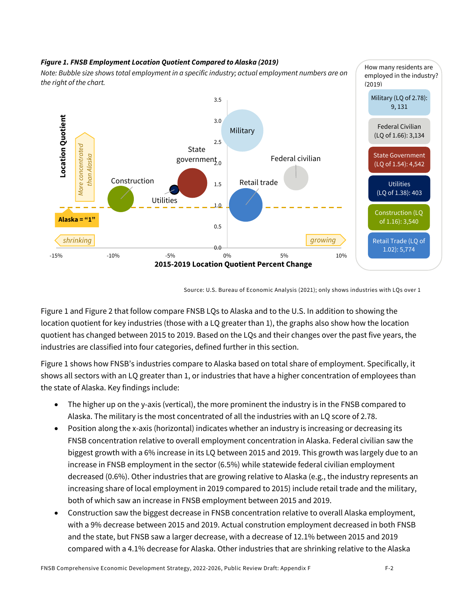#### <span id="page-1-0"></span>*Figure 1. FNSB Employment Location Quotient Compared to Alaska (2019)*

*Note: Bubble size shows total employment in a specific industry; actual employment numbers are on the right of the chart.*



Source: U.S. Bureau of Economic Analysis (2021); only shows industries with LQs over 1

[Figure 1](#page-1-0) an[d Figure 2](#page-2-0) that follow compare FNSB LQs to Alaska and to the U.S. In addition to showing the location quotient for key industries (those with a LQ greater than 1), the graphs also show how the location quotient has changed between 2015 to 2019. Based on the LQs and their changes over the past five years, the industries are classified into four categories, defined further in this section.

[Figure 1](#page-1-0) shows how FNSB's industries compare to Alaska based on total share of employment. Specifically, it shows all sectors with an LQ greater than 1, or industries that have a higher concentration of employees than the state of Alaska. Key findings include:

- The higher up on the y-axis (vertical), the more prominent the industry is in the FNSB compared to Alaska. The military is the most concentrated of all the industries with an LQ score of 2.78.
- Position along the x-axis (horizontal) indicates whether an industry is increasing or decreasing its FNSB concentration relative to overall employment concentration in Alaska. Federal civilian saw the biggest growth with a 6% increase in its LQ between 2015 and 2019. This growth was largely due to an increase in FNSB employment in the sector (6.5%) while statewide federal civilian employment decreased (0.6%). Other industries that are growing relative to Alaska (e.g., the industry represents an increasing share of local employment in 2019 compared to 2015) include retail trade and the military, both of which saw an increase in FNSB employment between 2015 and 2019.
- Construction saw the biggest decrease in FNSB concentration relative to overall Alaska employment, with a 9% decrease between 2015 and 2019. Actual constrution employment decreased in both FNSB and the state, but FNSB saw a larger decrease, with a decrease of 12.1% between 2015 and 2019 compared with a 4.1% decrease for Alaska. Other industries that are shrinking relative to the Alaska

How many residents are employed in the industry?

(2019)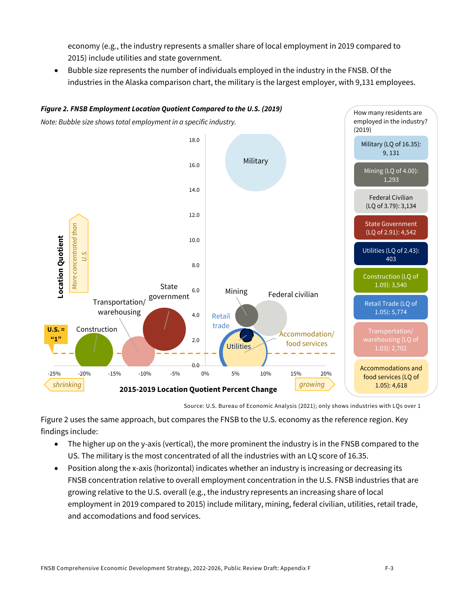economy (e.g., the industry represents a smaller share of local employment in 2019 compared to 2015) include utilities and state government.

• Bubble size represents the number of individuals employed in the industry in the FNSB. Of the industries in the Alaska comparison chart, the military is the largest employer, with 9,131 employees.

<span id="page-2-0"></span>

Source: U.S. Bureau of Economic Analysis (2021); only shows industries with LQs over 1

[Figure 2](#page-2-0) uses the same approach, but compares the FNSB to the U.S. economy as the reference region. Key findings include:

- The higher up on the y-axis (vertical), the more prominent the industry is in the FNSB compared to the US. The military is the most concentrated of all the industries with an LQ score of 16.35.
- Position along the x-axis (horizontal) indicates whether an industry is increasing or decreasing its FNSB concentration relative to overall employment concentration in the U.S. FNSB industries that are growing relative to the U.S. overall (e.g., the industry represents an increasing share of local employment in 2019 compared to 2015) include military, mining, federal civilian, utilities, retail trade, and accomodations and food services.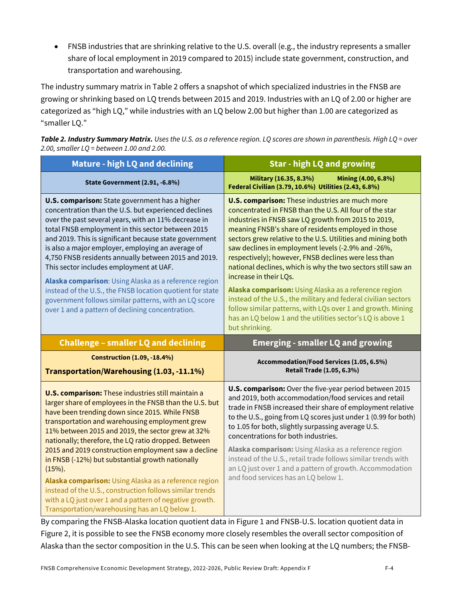• FNSB industries that are shrinking relative to the U.S. overall (e.g., the industry represents a smaller share of local employment in 2019 compared to 2015) include state government, construction, and transportation and warehousing.

The industry summary matrix i[n Table 2](#page-3-0) offers a snapshot of which specialized industries in the FNSB are growing or shrinking based on LQ trends between 2015 and 2019. Industries with an LQ of 2.00 or higher are categorized as "high LQ," while industries with an LQ below 2.00 but higher than 1.00 are categorized as "smaller LQ."

<span id="page-3-0"></span>*Table 2. Industry Summary Matrix. Uses the U.S. as a reference region. LQ scores are shown in parenthesis. High LQ = over 2.00, smaller LQ = between 1.00 and 2.00.* 

| <b>Mature - high LQ and declining</b>                                                                                                                                                                                                                                                                                                                                                                                                                                                                                                                                                                                                                                                          | <b>Star - high LQ and growing</b>                                                                                                                                                                                                                                                                                                                                                                                                                                                                                                                                                                                                                                                                                                                                                |  |  |  |
|------------------------------------------------------------------------------------------------------------------------------------------------------------------------------------------------------------------------------------------------------------------------------------------------------------------------------------------------------------------------------------------------------------------------------------------------------------------------------------------------------------------------------------------------------------------------------------------------------------------------------------------------------------------------------------------------|----------------------------------------------------------------------------------------------------------------------------------------------------------------------------------------------------------------------------------------------------------------------------------------------------------------------------------------------------------------------------------------------------------------------------------------------------------------------------------------------------------------------------------------------------------------------------------------------------------------------------------------------------------------------------------------------------------------------------------------------------------------------------------|--|--|--|
| State Government (2.91, -6.8%)                                                                                                                                                                                                                                                                                                                                                                                                                                                                                                                                                                                                                                                                 | Military (16.35, 8.3%)<br>Mining (4.00, 6.8%)<br>Federal Civilian (3.79, 10.6%) Utilities (2.43, 6.8%)                                                                                                                                                                                                                                                                                                                                                                                                                                                                                                                                                                                                                                                                           |  |  |  |
| <b>U.S. comparison:</b> State government has a higher<br>concentration than the U.S. but experienced declines<br>over the past several years, with an 11% decrease in<br>total FNSB employment in this sector between 2015<br>and 2019. This is significant because state government<br>is also a major employer, employing an average of<br>4,750 FNSB residents annually between 2015 and 2019.<br>This sector includes employment at UAF.<br>Alaska comparison: Using Alaska as a reference region<br>instead of the U.S., the FNSB location quotient for state<br>government follows similar patterns, with an LQ score<br>over 1 and a pattern of declining concentration.                | <b>U.S. comparison:</b> These industries are much more<br>concentrated in FNSB than the U.S. All four of the star<br>industries in FNSB saw LQ growth from 2015 to 2019,<br>meaning FNSB's share of residents employed in those<br>sectors grew relative to the U.S. Utilities and mining both<br>saw declines in employment levels (-2.9% and -26%,<br>respectively); however, FNSB declines were less than<br>national declines, which is why the two sectors still saw an<br>increase in their LQs.<br>Alaska comparison: Using Alaska as a reference region<br>instead of the U.S., the military and federal civilian sectors<br>follow similar patterns, with LQs over 1 and growth. Mining<br>has an LQ below 1 and the utilities sector's LQ is above 1<br>but shrinking. |  |  |  |
| <b>Challenge - smaller LQ and declining</b>                                                                                                                                                                                                                                                                                                                                                                                                                                                                                                                                                                                                                                                    | <b>Emerging - smaller LQ and growing</b>                                                                                                                                                                                                                                                                                                                                                                                                                                                                                                                                                                                                                                                                                                                                         |  |  |  |
| <b>Construction (1.09, -18.4%)</b><br>Transportation/Warehousing (1.03, -11.1%)                                                                                                                                                                                                                                                                                                                                                                                                                                                                                                                                                                                                                | Accommodation/Food Services (1.05, 6.5%)<br>Retail Trade (1.05, 6.3%)                                                                                                                                                                                                                                                                                                                                                                                                                                                                                                                                                                                                                                                                                                            |  |  |  |
| <b>U.S. comparison:</b> These industries still maintain a<br>larger share of employees in the FNSB than the U.S. but<br>have been trending down since 2015. While FNSB<br>transportation and warehousing employment grew<br>11% between 2015 and 2019, the sector grew at 32%<br>nationally; therefore, the LQ ratio dropped. Between<br>2015 and 2019 construction employment saw a decline<br>in FNSB (-12%) but substantial growth nationally<br>$(15%)$ .<br>Alaska comparison: Using Alaska as a reference region<br>instead of the U.S., construction follows similar trends<br>with a LQ just over 1 and a pattern of negative growth.<br>Transportation/warehousing has an LQ below 1. | U.S. comparison: Over the five-year period between 2015<br>and 2019, both accommodation/food services and retail<br>trade in FNSB increased their share of employment relative<br>to the U.S., going from LQ scores just under 1 (0.99 for both)<br>to 1.05 for both, slightly surpassing average U.S.<br>concentrations for both industries.<br>Alaska comparison: Using Alaska as a reference region<br>instead of the U.S., retail trade follows similar trends with<br>an LQ just over 1 and a pattern of growth. Accommodation<br>and food services has an LQ below 1.                                                                                                                                                                                                      |  |  |  |

By comparing the FNSB-Alaska location quotient data i[n Figure 1](#page-1-0) and FNSB-U.S. location quotient data in [Figure 2,](#page-2-0) it is possible to see the FNSB economy more closely resembles the overall sector composition of Alaska than the sector composition in the U.S. This can be seen when looking at the LQ numbers; the FNSB-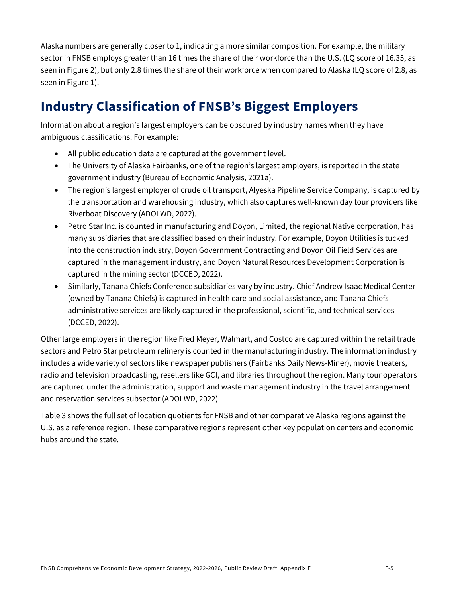Alaska numbers are generally closer to 1, indicating a more similar composition. For example, the military sector in FNSB employs greater than 16 times the share of their workforce than the U.S. (LQ score of 16.35, as seen in Figure 2), but only 2.8 times the share of their workforce when compared to Alaska (LQ score of 2.8, as seen in Figure 1).

## **Industry Classification of FNSB's Biggest Employers**

Information about a region's largest employers can be obscured by industry names when they have ambiguous classifications. For example:

- All public education data are captured at the government level.
- The University of Alaska Fairbanks, one of the region's largest employers, is reported in the state government industry (Bureau of Economic Analysis, 2021a).
- The region's largest employer of crude oil transport, Alyeska Pipeline Service Company, is captured by the transportation and warehousing industry, which also captures well-known day tour providers like Riverboat Discovery (ADOLWD, 2022).
- Petro Star Inc. is counted in manufacturing and Doyon, Limited, the regional Native corporation, has many subsidiaries that are classified based on their industry. For example, Doyon Utilities is tucked into the construction industry, Doyon Government Contracting and Doyon Oil Field Services are captured in the management industry, and Doyon Natural Resources Development Corporation is captured in the mining sector (DCCED, 2022).
- Similarly, Tanana Chiefs Conference subsidiaries vary by industry. Chief Andrew Isaac Medical Center (owned by Tanana Chiefs) is captured in health care and social assistance, and Tanana Chiefs administrative services are likely captured in the professional, scientific, and technical services (DCCED, 2022).

Other large employers in the region like Fred Meyer, Walmart, and Costco are captured within the retail trade sectors and Petro Star petroleum refinery is counted in the manufacturing industry. The information industry includes a wide variety of sectors like newspaper publishers (Fairbanks Daily News-Miner), movie theaters, radio and television broadcasting, resellers like GCI, and libraries throughout the region. Many tour operators are captured under the administration, support and waste management industry in the travel arrangement and reservation services subsector (ADOLWD, 2022).

Table 3 shows the full set of location quotients for FNSB and other comparative Alaska regions against the U.S. as a reference region. These comparative regions represent other key population centers and economic hubs around the state.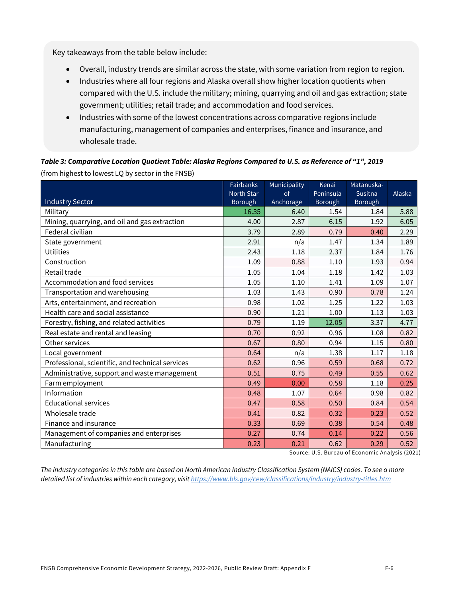Key takeaways from the table below include:

- Overall, industry trends are similar across the state, with some variation from region to region.
- Industries where all four regions and Alaska overall show higher location quotients when compared with the U.S. include the military; mining, quarrying and oil and gas extraction; state government; utilities; retail trade; and accommodation and food services.
- Industries with some of the lowest concentrations across comparative regions include manufacturing, management of companies and enterprises, finance and insurance, and wholesale trade.

*Table 3: Comparative Location Quotient Table: Alaska Regions Compared to U.S. as Reference of "1", 2019* (from highest to lowest LQ by sector in the FNSB)

|                                                  | <b>Fairbanks</b> | Municipality | Kenai     | Matanuska- |        |
|--------------------------------------------------|------------------|--------------|-----------|------------|--------|
|                                                  | North Star       | of           | Peninsula | Susitna    | Alaska |
| <b>Industry Sector</b>                           | Borough          | Anchorage    | Borough   | Borough    |        |
| Military                                         | 16.35            | 6.40         | 1.54      | 1.84       | 5.88   |
| Mining, quarrying, and oil and gas extraction    | 4.00             | 2.87         | 6.15      | 1.92       | 6.05   |
| Federal civilian                                 | 3.79             | 2.89         | 0.79      | 0.40       | 2.29   |
| State government                                 | 2.91             | n/a          | 1.47      | 1.34       | 1.89   |
| <b>Utilities</b>                                 | 2.43             | 1.18         | 2.37      | 1.84       | 1.76   |
| Construction                                     | 1.09             | 0.88         | 1.10      | 1.93       | 0.94   |
| Retail trade                                     | 1.05             | 1.04         | 1.18      | 1.42       | 1.03   |
| Accommodation and food services                  | 1.05             | 1.10         | 1.41      | 1.09       | 1.07   |
| Transportation and warehousing                   | 1.03             | 1.43         | 0.90      | 0.78       | 1.24   |
| Arts, entertainment, and recreation              | 0.98             | 1.02         | 1.25      | 1.22       | 1.03   |
| Health care and social assistance                | 0.90             | 1.21         | 1.00      | 1.13       | 1.03   |
| Forestry, fishing, and related activities        | 0.79             | 1.19         | 12.05     | 3.37       | 4.77   |
| Real estate and rental and leasing               | 0.70             | 0.92         | 0.96      | 1.08       | 0.82   |
| Other services                                   | 0.67             | 0.80         | 0.94      | 1.15       | 0.80   |
| Local government                                 | 0.64             | n/a          | 1.38      | 1.17       | 1.18   |
| Professional, scientific, and technical services | 0.62             | 0.96         | 0.59      | 0.68       | 0.72   |
| Administrative, support and waste management     | 0.51             | 0.75         | 0.49      | 0.55       | 0.62   |
| Farm employment                                  | 0.49             | 0.00         | 0.58      | 1.18       | 0.25   |
| Information                                      | 0.48             | 1.07         | 0.64      | 0.98       | 0.82   |
| <b>Educational services</b>                      | 0.47             | 0.58         | 0.50      | 0.84       | 0.54   |
| Wholesale trade                                  | 0.41             | 0.82         | 0.32      | 0.23       | 0.52   |
| Finance and insurance                            | 0.33             | 0.69         | 0.38      | 0.54       | 0.48   |
| Management of companies and enterprises          | 0.27             | 0.74         | 0.14      | 0.22       | 0.56   |
| Manufacturing                                    | 0.23             | 0.21         | 0.62      | 0.29       | 0.52   |

Source: U.S. Bureau of Economic Analysis (2021)

*The industry categories in this table are based on North American Industry Classification System (NAICS) codes. To see a more detailed list of industries within each category, visit https://www.bls.gov/cew/classifications/industry/industry-titles.htm*